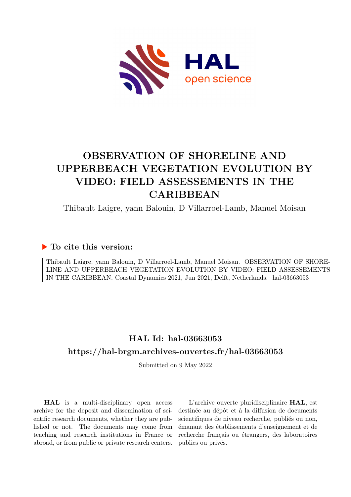

# **OBSERVATION OF SHORELINE AND UPPERBEACH VEGETATION EVOLUTION BY VIDEO: FIELD ASSESSEMENTS IN THE CARIBBEAN**

Thibault Laigre, yann Balouin, D Villarroel-Lamb, Manuel Moisan

### **To cite this version:**

Thibault Laigre, yann Balouin, D Villarroel-Lamb, Manuel Moisan. OBSERVATION OF SHORE-LINE AND UPPERBEACH VEGETATION EVOLUTION BY VIDEO: FIELD ASSESSEMENTS IN THE CARIBBEAN. Coastal Dynamics 2021, Jun 2021, Delft, Netherlands. hal-03663053

## **HAL Id: hal-03663053 <https://hal-brgm.archives-ouvertes.fr/hal-03663053>**

Submitted on 9 May 2022

**HAL** is a multi-disciplinary open access archive for the deposit and dissemination of scientific research documents, whether they are published or not. The documents may come from teaching and research institutions in France or abroad, or from public or private research centers.

L'archive ouverte pluridisciplinaire **HAL**, est destinée au dépôt et à la diffusion de documents scientifiques de niveau recherche, publiés ou non, émanant des établissements d'enseignement et de recherche français ou étrangers, des laboratoires publics ou privés.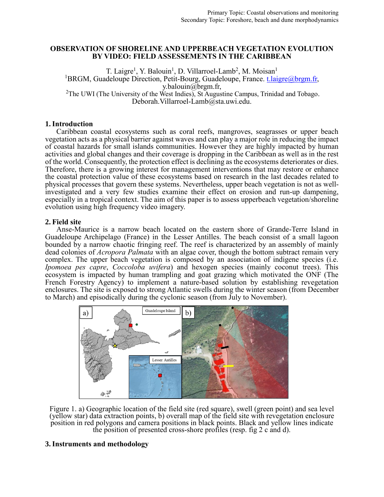#### **OBSERVATION OF SHORELINE AND UPPERBEACH VEGETATION EVOLUTION BY VIDEO: FIELD ASSESSEMENTS IN THE CARIBBEAN**

T. Laigre<sup>1</sup>, Y. Balouin<sup>1</sup>, D. Villarroel-Lamb<sup>2</sup>, M. Moisan<sup>1</sup> <sup>1</sup>BRGM, Guadeloupe Direction, Petit-Bourg, Guadeloupe, France. t. *laigre@brgm.fr*, y.balouin $\overline{\omega}$ brgm.fr, <sup>2</sup>The UWI (The University of the West Indies), St Augustine Campus, Trinidad and Tobago. Deborah. Villarroel-Lamb@sta.uwi.edu.

#### **1.Introduction**

Caribbean coastal ecosystems such as coral reefs, mangroves, seagrasses or upper beach vegetation acts as a physical barrier against waves and can play a major role in reducing the impact of coastal hazards for small islands communities. However they are highly impacted by human activities and global changes and their coverage is dropping in the Caribbean as well as in the rest of the world. Consequently, the protection effect is declining as the ecosystems deteriorates or dies. Therefore, there is a growing interest for management interventions that may restore or enhance the coastal protection value of these ecosystems based on research in the last decades related to physical processes that govern these systems. Nevertheless, upper beach vegetation is not as wellinvestigated and a very few studies examine their effect on erosion and run-up dampening, especially in a tropical context. The aim of this paper is to assess upperbeach vegetation/shoreline evolution using high frequency video imagery.

#### **2. Field site**

Anse-Maurice is a narrow beach located on the eastern shore of Grande-Terre Island in Guadeloupe Archipelago (France) in the Lesser Antilles. The beach consist of a small lagoon bounded by a narrow chaotic fringing reef. The reef is characterized by an assembly of mainly dead colonies of *Acropora Palmata* with an algae cover, though the bottom subtract remain very complex. The upper beach vegetation is composed by an association of indigene species (i.e. *Ipomoea pes capre*, *Coccoloba uvifera*) and hexogen species (mainly coconut trees). This ecosystem is impacted by human trampling and goat grazing which motivated the ONF (The French Forestry Agency) to implement a nature-based solution by establishing revegetation enclosures. The site is exposed to strong Atlantic swells during the winter season (from December to March) and episodically during the cyclonic season (from July to November).



Figure 1. a) Geographic location of the field site (red square), swell (green point) and sea level (yellow star) data extraction points, b) overall map of the field site with revegetation enclosure position in red polygons and camera positions in black points. Black and yellow lines indicate the position of presented cross-shore profiles (resp. fig 2 c and d).

#### **3.Instruments and methodology**